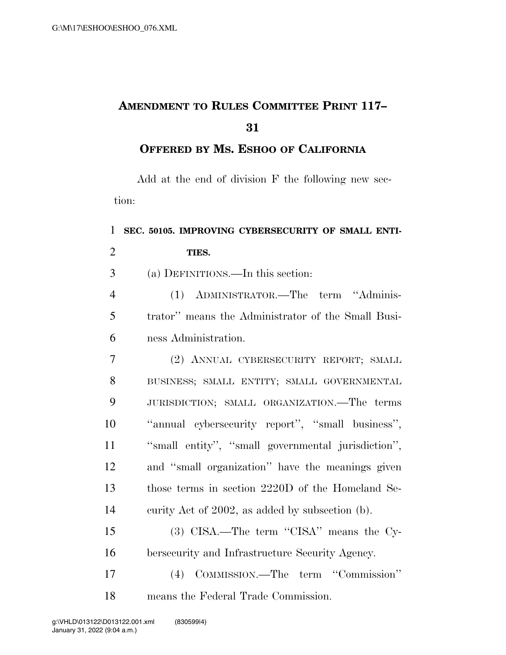## **AMENDMENT TO RULES COMMITTEE PRINT 117–**

## **OFFERED BY MS. ESHOO OF CALIFORNIA**

Add at the end of division F the following new section:

## **SEC. 50105. IMPROVING CYBERSECURITY OF SMALL ENTI- TIES.**  (a) DEFINITIONS.—In this section: (1) ADMINISTRATOR.—The term ''Adminis-

 trator'' means the Administrator of the Small Busi-ness Administration.

 (2) ANNUAL CYBERSECURITY REPORT; SMALL BUSINESS; SMALL ENTITY; SMALL GOVERNMENTAL JURISDICTION; SMALL ORGANIZATION.—The terms ''annual cybersecurity report'', ''small business'', ''small entity'', ''small governmental jurisdiction'', and ''small organization'' have the meanings given those terms in section 2220D of the Homeland Se-curity Act of 2002, as added by subsection (b).

 (3) CISA.—The term ''CISA'' means the Cy-bersecurity and Infrastructure Security Agency.

 (4) COMMISSION.—The term ''Commission'' means the Federal Trade Commission.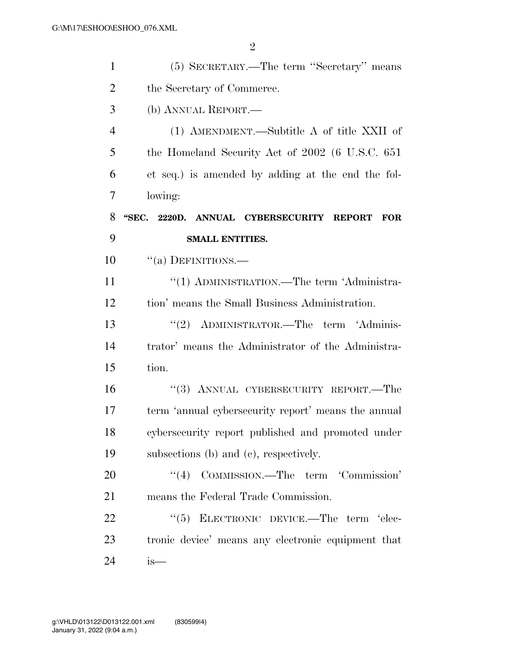| $\mathbf{1}$   | (5) SECRETARY.—The term "Secretary" means              |
|----------------|--------------------------------------------------------|
| $\overline{2}$ | the Secretary of Commerce.                             |
| 3              | (b) ANNUAL REPORT.—                                    |
| 4              | (1) AMENDMENT.—Subtitle A of title XXII of             |
| 5              | the Homeland Security Act of 2002 (6 U.S.C. 651)       |
| 6              | et seq.) is amended by adding at the end the fol-      |
| 7              | lowing:                                                |
| 8              | "SEC. 2220D. ANNUAL CYBERSECURITY REPORT<br><b>FOR</b> |
| 9              | <b>SMALL ENTITIES.</b>                                 |
| 10             | $``(a)$ DEFINITIONS.—                                  |
| 11             | "(1) ADMINISTRATION.—The term 'Administra-             |
| 12             | tion' means the Small Business Administration.         |
| 13             | "(2) ADMINISTRATOR.—The term 'Adminis-                 |
| 14             | trator' means the Administrator of the Administra-     |
| 15             | tion.                                                  |
| 16             | "(3) ANNUAL CYBERSECURITY REPORT.—The                  |
| 17             | term 'annual cybersecurity report' means the annual    |
| 18             | cybersecurity report published and promoted under      |
| 19             | subsections (b) and (c), respectively.                 |
| 20             | "(4) COMMISSION.—The term 'Commission'                 |
| 21             | means the Federal Trade Commission.                    |
| 22             | "(5) ELECTRONIC DEVICE.—The term 'elec-                |
| 23             | tronic device' means any electronic equipment that     |
| 24             | is—                                                    |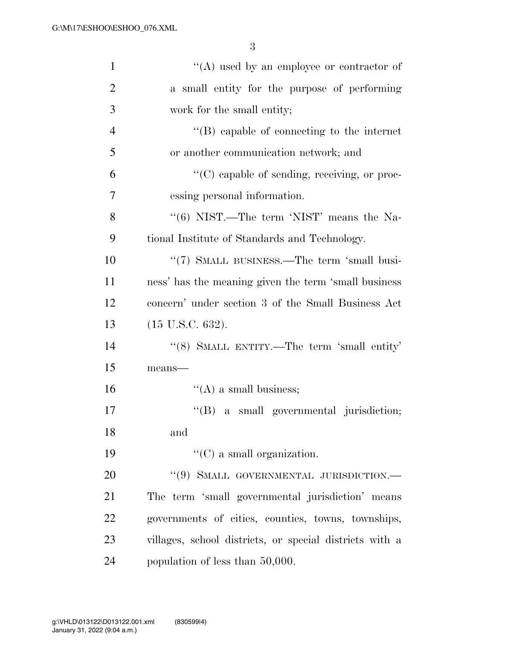| $\mathbf{1}$   | "(A) used by an employee or contractor of               |
|----------------|---------------------------------------------------------|
| $\overline{2}$ | a small entity for the purpose of performing            |
| 3              | work for the small entity;                              |
| $\overline{4}$ | $\lq\lq$ capable of connecting to the internet          |
| 5              | or another communication network; and                   |
| 6              | $\lq\lq$ (C) capable of sending, receiving, or proc-    |
| 7              | essing personal information.                            |
| 8              | " $(6)$ NIST.—The term 'NIST' means the Na-             |
| 9              | tional Institute of Standards and Technology.           |
| 10             | "(7) SMALL BUSINESS.—The term 'small busi-              |
| 11             | ness' has the meaning given the term 'small business    |
| 12             | concern' under section 3 of the Small Business Act      |
| 13             | $(15 \text{ U.S.C. } 632).$                             |
| 14             | "(8) SMALL ENTITY.—The term 'small entity'              |
| 15             | means-                                                  |
| 16             | $\lq\lq$ (A) a small business;                          |
| 17             | "(B) a small governmental jurisdiction;                 |
| 18             | and                                                     |
| 19             | $\lq\lq$ (C) a small organization.                      |
| 20             | "(9) SMALL GOVERNMENTAL JURISDICTION.-                  |
| 21             | The term 'small governmental jurisdiction' means        |
| 22             | governments of cities, counties, towns, townships,      |
| 23             | villages, school districts, or special districts with a |
| 24             | population of less than 50,000.                         |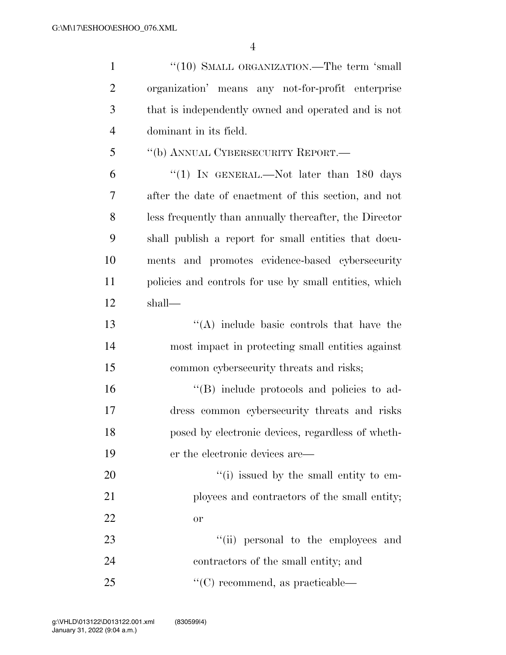| $\mathbf{1}$   | "(10) SMALL ORGANIZATION.—The term 'small              |
|----------------|--------------------------------------------------------|
| $\overline{2}$ | organization' means any not-for-profit enterprise      |
| 3              | that is independently owned and operated and is not    |
| $\overline{4}$ | dominant in its field.                                 |
| 5              | "(b) ANNUAL CYBERSECURITY REPORT.—                     |
| 6              | "(1) IN GENERAL.—Not later than $180$ days             |
| 7              | after the date of enactment of this section, and not   |
| 8              | less frequently than annually thereafter, the Director |
| 9              | shall publish a report for small entities that docu-   |
| 10             | ments and promotes evidence-based cybersecurity        |
| 11             | policies and controls for use by small entities, which |
| 12             | shall—                                                 |
| 13             | $\lq\lq$ include basic controls that have the          |
| 14             | most impact in protecting small entities against       |
| 15             | common cybersecurity threats and risks;                |
| 16             | "(B) include protocols and policies to ad-             |
| 17             | dress common cybersecurity threats and risks           |
| 18             | posed by electronic devices, regardless of wheth-      |
| 19             | er the electronic devices are—                         |
| 20             | "(i) issued by the small entity to em-                 |
| 21             | ployees and contractors of the small entity;           |
| 22             | <b>or</b>                                              |
| 23             | "(ii) personal to the employees and                    |
| 24             | contractors of the small entity; and                   |
| 25             | $\lq\lq$ recommend, as practicable—                    |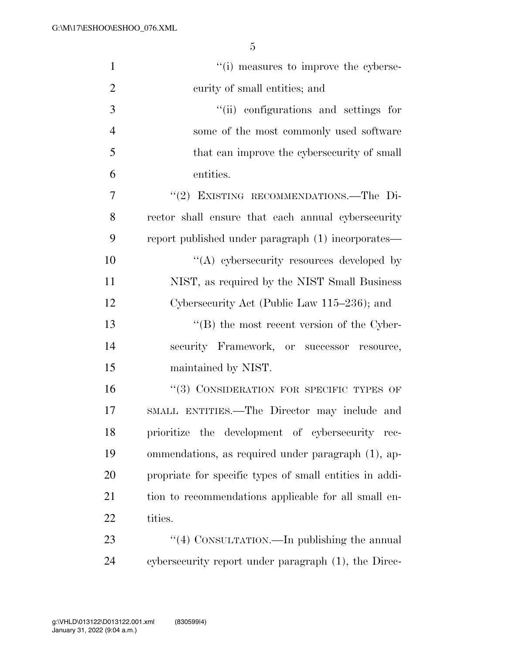| $\mathbf{1}$   | "(i) measures to improve the cyberse-                   |
|----------------|---------------------------------------------------------|
| $\overline{2}$ | curity of small entities; and                           |
| 3              | "(ii) configurations and settings for                   |
| $\overline{4}$ | some of the most commonly used software                 |
| 5              | that can improve the cybersecurity of small             |
| 6              | entities.                                               |
| 7              | "(2) EXISTING RECOMMENDATIONS.-The Di-                  |
| 8              | rector shall ensure that each annual cybersecurity      |
| 9              | report published under paragraph (1) incorporates—      |
| 10             | "(A) cybersecurity resources developed by               |
| 11             | NIST, as required by the NIST Small Business            |
| 12             | Cybersecurity Act (Public Law 115–236); and             |
| 13             | $\lq\lq (B)$ the most recent version of the Cyber-      |
| 14             | security Framework, or successor resource,              |
| 15             | maintained by NIST.                                     |
| 16             | "(3) CONSIDERATION FOR SPECIFIC TYPES OF                |
| 17             | SMALL ENTITIES.—The Director may include and            |
| 18             | prioritize the development of cybersecurity rec-        |
| 19             | ommendations, as required under paragraph (1), ap-      |
| 20             | propriate for specific types of small entities in addi- |
| 21             | tion to recommendations applicable for all small en-    |
| 22             | tities.                                                 |
| 23             | "(4) CONSULTATION.—In publishing the annual             |
| 24             | cybersecurity report under paragraph (1), the Direc-    |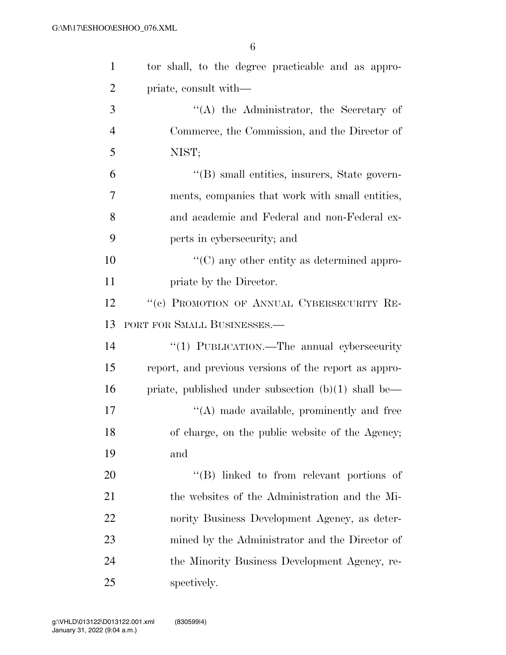| $\mathbf{1}$   | tor shall, to the degree practicable and as appro-    |
|----------------|-------------------------------------------------------|
| $\overline{2}$ | priate, consult with—                                 |
| 3              | $\lq\lq$ the Administrator, the Secretary of          |
| $\overline{4}$ | Commerce, the Commission, and the Director of         |
| 5              | NIST;                                                 |
| 6              | "(B) small entities, insurers, State govern-          |
| $\overline{7}$ | ments, companies that work with small entities,       |
| 8              | and academic and Federal and non-Federal ex-          |
| 9              | perts in cybersecurity; and                           |
| 10             | $\lq\lq$ (C) any other entity as determined appro-    |
| 11             | priate by the Director.                               |
| 12             | "(c) PROMOTION OF ANNUAL CYBERSECURITY RE-            |
| 13             | PORT FOR SMALL BUSINESSES.—                           |
| 14             | "(1) PUBLICATION.—The annual cybersecurity            |
| 15             | report, and previous versions of the report as appro- |
| 16             | priate, published under subsection $(b)(1)$ shall be— |
| 17             | $\lq\lq$ made available, prominently and free         |
| 18             | of charge, on the public website of the Agency;       |
| 19             | and                                                   |
| 20             | $\lq\lq$ (B) linked to from relevant portions of      |
| 21             | the websites of the Administration and the Mi-        |
| 22             | nority Business Development Agency, as deter-         |
| 23             | mined by the Administrator and the Director of        |
| 24             | the Minority Business Development Agency, re-         |
| 25             | spectively.                                           |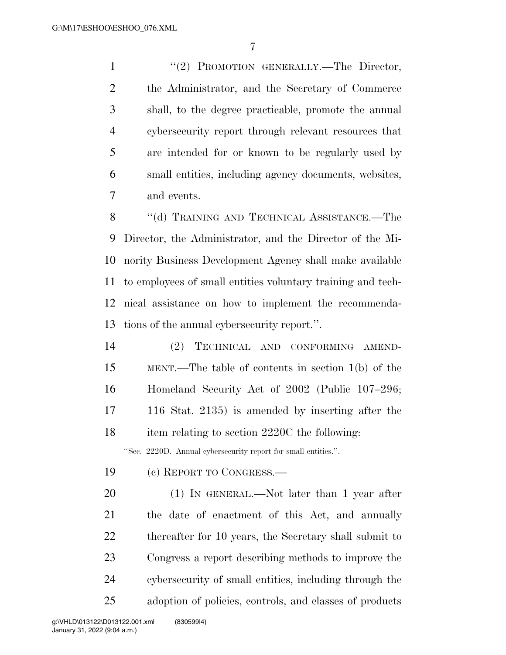1 "(2) PROMOTION GENERALLY.—The Director, the Administrator, and the Secretary of Commerce shall, to the degree practicable, promote the annual cybersecurity report through relevant resources that are intended for or known to be regularly used by small entities, including agency documents, websites, and events.

8 "(d) TRAINING AND TECHNICAL ASSISTANCE.—The Director, the Administrator, and the Director of the Mi- nority Business Development Agency shall make available to employees of small entities voluntary training and tech- nical assistance on how to implement the recommenda-tions of the annual cybersecurity report.''.

 (2) TECHNICAL AND CONFORMING AMEND- MENT.—The table of contents in section 1(b) of the Homeland Security Act of 2002 (Public 107–296; 116 Stat. 2135) is amended by inserting after the 18 item relating to section 2220C the following: ''Sec. 2220D. Annual cybersecurity report for small entities.''.

- (c) REPORT TO CONGRESS.—
- 20 (1) IN GENERAL.—Not later than 1 year after the date of enactment of this Act, and annually 22 thereafter for 10 years, the Secretary shall submit to Congress a report describing methods to improve the cybersecurity of small entities, including through the adoption of policies, controls, and classes of products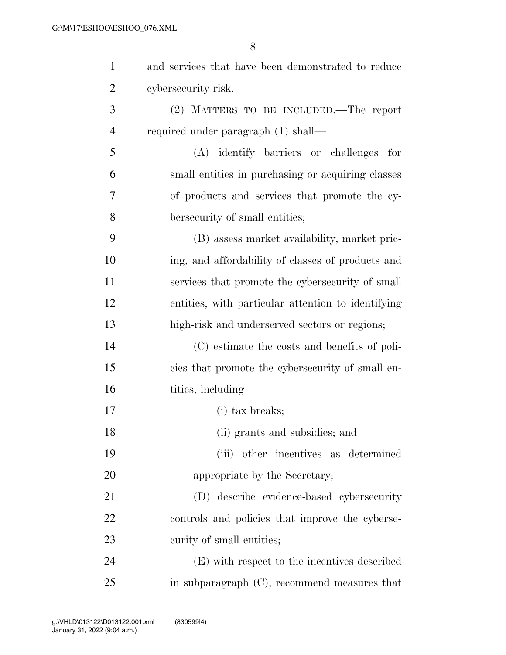| $\mathbf{1}$   | and services that have been demonstrated to reduce |
|----------------|----------------------------------------------------|
| $\overline{2}$ | cybersecurity risk.                                |
| 3              | (2) MATTERS TO BE INCLUDED.—The report             |
| $\overline{4}$ | required under paragraph (1) shall—                |
| 5              | (A) identify barriers or challenges<br>for         |
| 6              | small entities in purchasing or acquiring classes  |
| 7              | of products and services that promote the cy-      |
| 8              | bersecurity of small entities;                     |
| 9              | (B) assess market availability, market pric-       |
| 10             | ing, and affordability of classes of products and  |
| 11             | services that promote the cybersecurity of small   |
| 12             | entities, with particular attention to identifying |
| 13             | high-risk and underserved sectors or regions;      |
| 14             | (C) estimate the costs and benefits of poli-       |
| 15             | cies that promote the cybersecurity of small en-   |
| 16             | tities, including—                                 |
| 17             | (i) tax breaks;                                    |
| 18             | (ii) grants and subsidies; and                     |
| 19             | (iii) other incentives as determined               |
| 20             | appropriate by the Secretary;                      |
| 21             | (D) describe evidence-based cybersecurity          |
| 22             | controls and policies that improve the cyberse-    |
| 23             | curity of small entities;                          |
| 24             | (E) with respect to the incentives described       |
| 25             | in subparagraph $(C)$ , recommend measures that    |